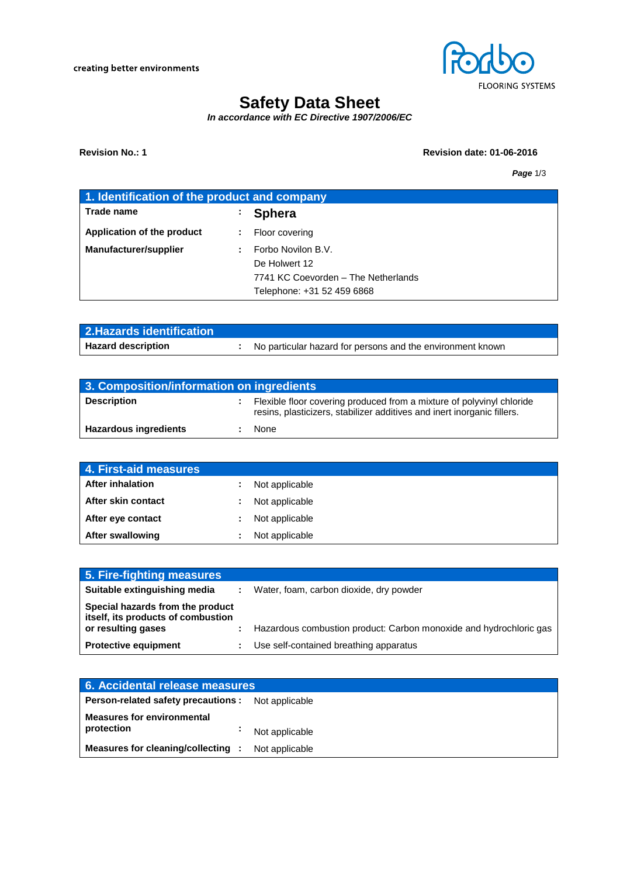

# **Safety Data Sheet**

*In accordance with EC Directive 1907/2006/EC*

### **Revision No.: 1 Revision date: 01-06-2016**

*Page* 1/3

| 1. Identification of the product and company |  |                                     |
|----------------------------------------------|--|-------------------------------------|
| Trade name                                   |  | <b>Sphera</b>                       |
| Application of the product                   |  | Floor covering                      |
| Manufacturer/supplier                        |  | Forbo Novilon B.V.                  |
|                                              |  | De Holwert 12                       |
|                                              |  | 7741 KC Coevorden - The Netherlands |
|                                              |  | Telephone: +31 52 459 6868          |

| 2. Hazards identification |                                                            |
|---------------------------|------------------------------------------------------------|
| <b>Hazard description</b> | No particular hazard for persons and the environment known |

| 3. Composition/information on ingredients |  |                                                                                                                                                  |
|-------------------------------------------|--|--------------------------------------------------------------------------------------------------------------------------------------------------|
| <b>Description</b>                        |  | Flexible floor covering produced from a mixture of polyvinyl chloride<br>resins, plasticizers, stabilizer additives and inert inorganic fillers. |
| <b>Hazardous ingredients</b>              |  | None                                                                                                                                             |

| 4. First-aid measures   |    |                |
|-------------------------|----|----------------|
| <b>After inhalation</b> |    | Not applicable |
| After skin contact      |    | Not applicable |
| After eye contact       | ÷. | Not applicable |
| <b>After swallowing</b> | ٠. | Not applicable |

| 5. Fire-fighting measures                                                                    |                                                                    |
|----------------------------------------------------------------------------------------------|--------------------------------------------------------------------|
| Suitable extinguishing media                                                                 | Water, foam, carbon dioxide, dry powder                            |
| Special hazards from the product<br>itself, its products of combustion<br>or resulting gases | Hazardous combustion product: Carbon monoxide and hydrochloric gas |
| <b>Protective equipment</b>                                                                  | Use self-contained breathing apparatus                             |

| 6. Accidental release measures            |                |  |
|-------------------------------------------|----------------|--|
| <b>Person-related safety precautions:</b> | Not applicable |  |
| <b>Measures for environmental</b>         |                |  |
| protection<br>$\blacksquare$              | Not applicable |  |
| Measures for cleaning/collecting :        | Not applicable |  |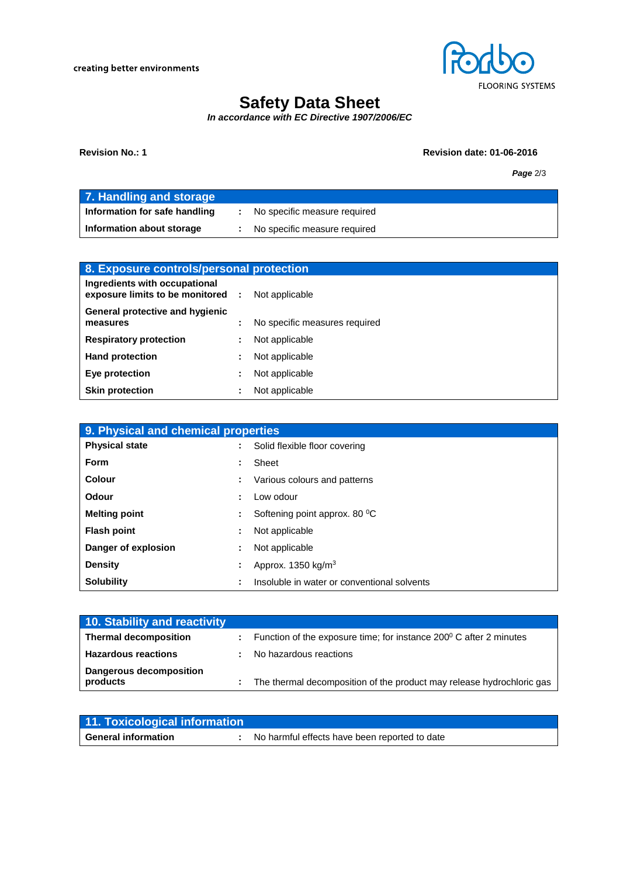

## **Safety Data Sheet**

*In accordance with EC Directive 1907/2006/EC*

#### **Revision No.: 1 Revision date: 01-06-2016**

*Page* 2/3

| 7. Handling and storage       |                              |
|-------------------------------|------------------------------|
| Information for safe handling | No specific measure required |
| Information about storage     | No specific measure required |

| 8. Exposure controls/personal protection                           |  |                               |  |
|--------------------------------------------------------------------|--|-------------------------------|--|
| Ingredients with occupational<br>exposure limits to be monitored : |  | Not applicable                |  |
| General protective and hygienic<br>measures                        |  | No specific measures required |  |
| <b>Respiratory protection</b>                                      |  | Not applicable                |  |
| <b>Hand protection</b>                                             |  | Not applicable                |  |
| Eye protection                                                     |  | Not applicable                |  |
| <b>Skin protection</b>                                             |  | Not applicable                |  |

| 9. Physical and chemical properties |   |                                             |
|-------------------------------------|---|---------------------------------------------|
| <b>Physical state</b>               |   | Solid flexible floor covering               |
| <b>Form</b>                         |   | Sheet                                       |
| <b>Colour</b>                       |   | Various colours and patterns                |
| Odour                               |   | Low odour                                   |
| <b>Melting point</b>                |   | Softening point approx. 80 °C               |
| <b>Flash point</b>                  |   | Not applicable                              |
| Danger of explosion                 |   | Not applicable                              |
| <b>Density</b>                      |   | Approx. $1350 \text{ kg/m}^3$               |
| <b>Solubility</b>                   | ÷ | Insoluble in water or conventional solvents |

| 10. Stability and reactivity        |    |                                                                             |
|-------------------------------------|----|-----------------------------------------------------------------------------|
| <b>Thermal decomposition</b>        | ÷. | Function of the exposure time; for instance $200^{\circ}$ C after 2 minutes |
| <b>Hazardous reactions</b>          |    | No hazardous reactions                                                      |
| Dangerous decomposition<br>products |    | The thermal decomposition of the product may release hydrochloric gas       |

| 11. Toxicological information |                                               |
|-------------------------------|-----------------------------------------------|
| <b>General information</b>    | No harmful effects have been reported to date |